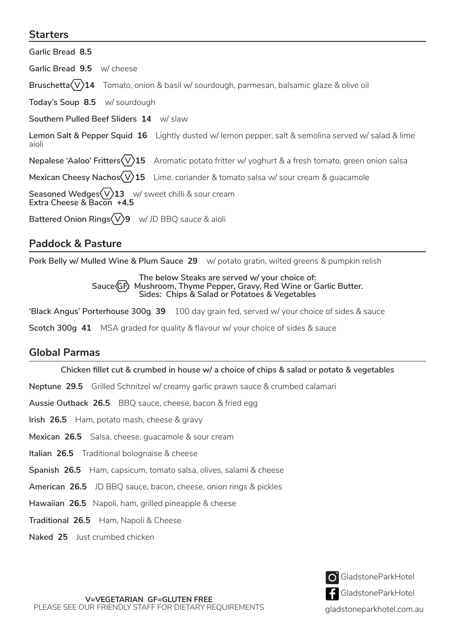## **Starters**

# **Paddock & Pasture**

**Pork Belly w/ Mulled Wine & Plum Sauce 29** w/ potato gratin, wilted greens & pumpkin relish

#### **The below Steaks are served w/ your choice of:**  Sauce GF<sub>2</sub> Mushroom, Thyme Pepper, Gravy, Red Wine or Garlic Butter. **Sides: Chips & Salad or Potatoes & Vegetables**

**'Black Angus' Porterhouse 300g 39** 100 day grain fed, served w/ your choice of sides & sauce

**Scotch 300g 41** MSA graded for quality & flavour w/ your choice of sides & sauce

# **Global Parmas**

**Chicken fillet cut & crumbed in house w/ a choice of chips & salad or potato & vegetables**

**Neptune 29.5** Grilled Schnitzel w/ creamy garlic prawn sauce & crumbed calamari

**Aussie Outback 26.5** BBQ sauce, cheese, bacon & fried egg

- **Irish 26.5** Ham, potato mash, cheese & gravy
- **Mexican 26.5** Salsa, cheese, guacamole & sour cream
- **Italian 26.5** Traditional bolognaise & cheese
- **Spanish 26.5** Ham, capsicum, tomato salsa, olives, salami & cheese
- **American 26.5** JD BBQ sauce, bacon, cheese, onion rings & pickles
- **Hawaiian 26.5** Napoli, ham, grilled pineapple & cheese
- **Traditional 26.5** Ham, Napoli & Cheese
- **Naked 25** Just crumbed chicken

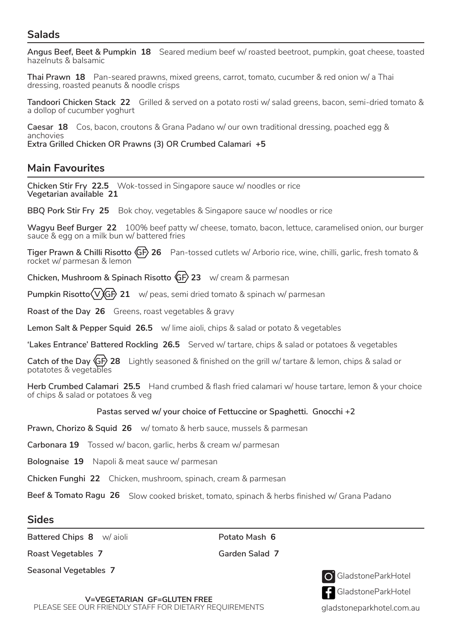# **Salads**

**Angus Beef, Beet & Pumpkin 18** Seared medium beef w/ roasted beetroot, pumpkin, goat cheese, toasted hazelnuts & balsamic

**Thai Prawn 18** Pan-seared prawns, mixed greens, carrot, tomato, cucumber & red onion w/ a Thai dressing, roasted peanuts & noodle crisps

**Tandoori Chicken Stack 22** Grilled & served on a potato rosti w/ salad greens, bacon, semi-dried tomato & a dollop of cucumber yoghurt

**Caesar 18** Cos, bacon, croutons & Grana Padano w/ our own traditional dressing, poached egg & anchovies

**Extra Grilled Chicken OR Prawns (3) OR Crumbed Calamari +5**

# **Main Favourites**

**Chicken Stir Fry 22.5** Wok-tossed in Singapore sauce w/ noodles or rice **Vegetarian available 21**

**BBQ Pork Stir Fry 25** Bok choy, vegetables & Singapore sauce w/ noodles or rice

**Wagyu Beef Burger 22** 100% beef patty w/ cheese, tomato, bacon, lettuce, caramelised onion, our burger sauce & egg on a milk bun w/ battered fries

**Tiger Prawn & Chilli Risotto GF 26** Pan-tossed cutlets w/ Arborio rice, wine, chilli, garlic, fresh tomato & rocket w/ parmesan & lemon

**Chicken, Mushroom & Spinach Risotto GF 23** w/ cream & parmesan

**Pumpkin Risotto (V) GP 21** w/ peas, semi dried tomato & spinach w/ parmesan

**Roast of the Day 26** Greens, roast vegetables & gravy

**Lemon Salt & Pepper Squid 26.5** w/ lime aioli, chips & salad or potato & vegetables

**'Lakes Entrance' Battered Rockling 26.5** Served w/ tartare, chips & salad or potatoes & vegetables

**Catch of the Day GF 28** Lightly seasoned & finished on the grill w/ tartare & lemon, chips & salad or potatotes & vegetables

**Herb Crumbed Calamari 25.5** Hand crumbed & flash fried calamari w/ house tartare, lemon & your choice of chips & salad or potatoes & veg

### **Pastas served w/ your choice of Fettuccine or Spaghetti. Gnocchi +2**

**Prawn, Chorizo & Squid 26** w/ tomato & herb sauce, mussels & parmesan

**Carbonara 19** Tossed w/ bacon, garlic, herbs & cream w/ parmesan

**Bolognaise 19** Napoli & meat sauce w/ parmesan

**Chicken Funghi 22** Chicken, mushroom, spinach, cream & parmesan

**Beef & Tomato Ragu 26** Slow cooked brisket, tomato, spinach & herbs finished w/ Grana Padano

## **Sides**

**Battered Chips 8** w/ aioli **Potato Mash 6**

**Roast Vegetables 7 Garden Salad 7**

**Seasonal Vegetables 7** GladstoneParkHotel



gladstoneparkhotel.com.au